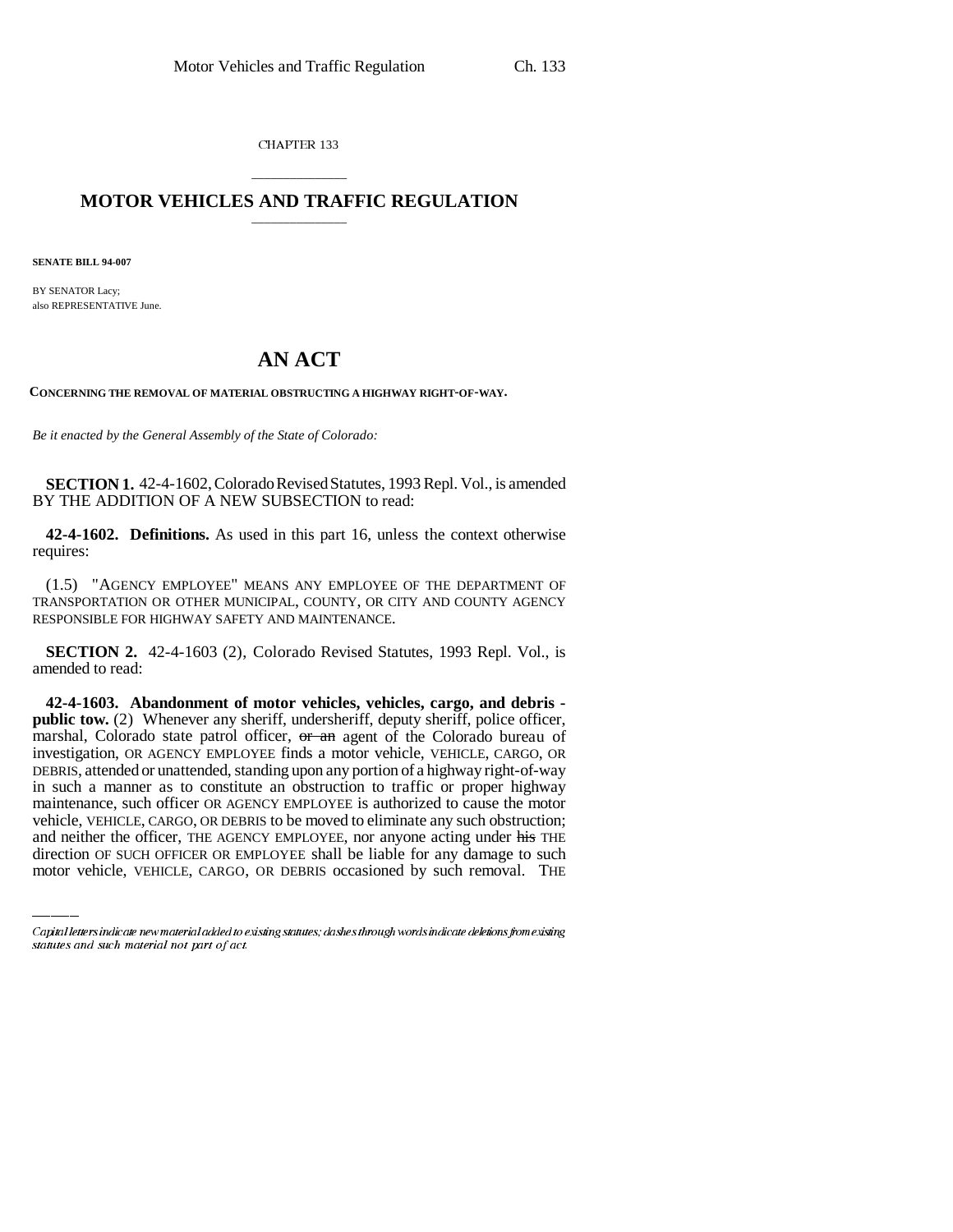CHAPTER 133

## \_\_\_\_\_\_\_\_\_\_\_\_\_\_\_ **MOTOR VEHICLES AND TRAFFIC REGULATION** \_\_\_\_\_\_\_\_\_\_\_\_\_\_\_

**SENATE BILL 94-007**

BY SENATOR Lacy; also REPRESENTATIVE June.

## **AN ACT**

**CONCERNING THE REMOVAL OF MATERIAL OBSTRUCTING A HIGHWAY RIGHT-OF-WAY.**

*Be it enacted by the General Assembly of the State of Colorado:*

**SECTION 1.** 42-4-1602, Colorado Revised Statutes, 1993 Repl. Vol., is amended BY THE ADDITION OF A NEW SUBSECTION to read:

**42-4-1602. Definitions.** As used in this part 16, unless the context otherwise requires:

(1.5) "AGENCY EMPLOYEE" MEANS ANY EMPLOYEE OF THE DEPARTMENT OF TRANSPORTATION OR OTHER MUNICIPAL, COUNTY, OR CITY AND COUNTY AGENCY RESPONSIBLE FOR HIGHWAY SAFETY AND MAINTENANCE.

**SECTION 2.** 42-4-1603 (2), Colorado Revised Statutes, 1993 Repl. Vol., is amended to read:

maintenance, such officer OR AGENCY EMPLOYEE is authorized to cause the motor **42-4-1603. Abandonment of motor vehicles, vehicles, cargo, and debris public tow.** (2) Whenever any sheriff, undersheriff, deputy sheriff, police officer, marshal, Colorado state patrol officer, or an agent of the Colorado bureau of investigation, OR AGENCY EMPLOYEE finds a motor vehicle, VEHICLE, CARGO, OR DEBRIS, attended or unattended, standing upon any portion of a highway right-of-way in such a manner as to constitute an obstruction to traffic or proper highway vehicle, VEHICLE, CARGO, OR DEBRIS to be moved to eliminate any such obstruction; and neither the officer, THE AGENCY EMPLOYEE, nor anyone acting under his THE direction OF SUCH OFFICER OR EMPLOYEE shall be liable for any damage to such motor vehicle, VEHICLE, CARGO, OR DEBRIS occasioned by such removal. THE

Capital letters indicate new material added to existing statutes; dashes through words indicate deletions from existing statutes and such material not part of act.